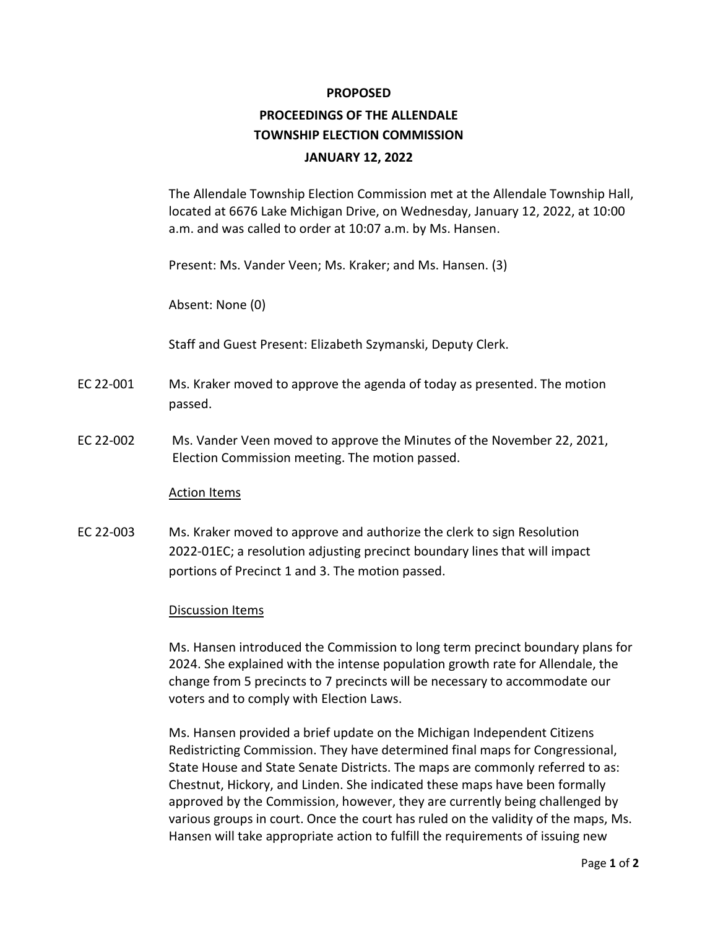## **PROPOSED**

## **PROCEEDINGS OF THE ALLENDALE TOWNSHIP ELECTION COMMISSION JANUARY 12, 2022**

The Allendale Township Election Commission met at the Allendale Township Hall, located at 6676 Lake Michigan Drive, on Wednesday, January 12, 2022, at 10:00 a.m. and was called to order at 10:07 a.m. by Ms. Hansen.

Present: Ms. Vander Veen; Ms. Kraker; and Ms. Hansen. (3)

Absent: None (0)

Staff and Guest Present: Elizabeth Szymanski, Deputy Clerk.

- EC 22-001 Ms. Kraker moved to approve the agenda of today as presented. The motion passed.
- EC 22-002 Ms. Vander Veen moved to approve the Minutes of the November 22, 2021, Election Commission meeting. The motion passed.

## Action Items

EC 22-003 Ms. Kraker moved to approve and authorize the clerk to sign Resolution 2022-01EC; a resolution adjusting precinct boundary lines that will impact portions of Precinct 1 and 3. The motion passed.

## Discussion Items

Ms. Hansen introduced the Commission to long term precinct boundary plans for 2024. She explained with the intense population growth rate for Allendale, the change from 5 precincts to 7 precincts will be necessary to accommodate our voters and to comply with Election Laws.

Ms. Hansen provided a brief update on the Michigan Independent Citizens Redistricting Commission. They have determined final maps for Congressional, State House and State Senate Districts. The maps are commonly referred to as: Chestnut, Hickory, and Linden. She indicated these maps have been formally approved by the Commission, however, they are currently being challenged by various groups in court. Once the court has ruled on the validity of the maps, Ms. Hansen will take appropriate action to fulfill the requirements of issuing new